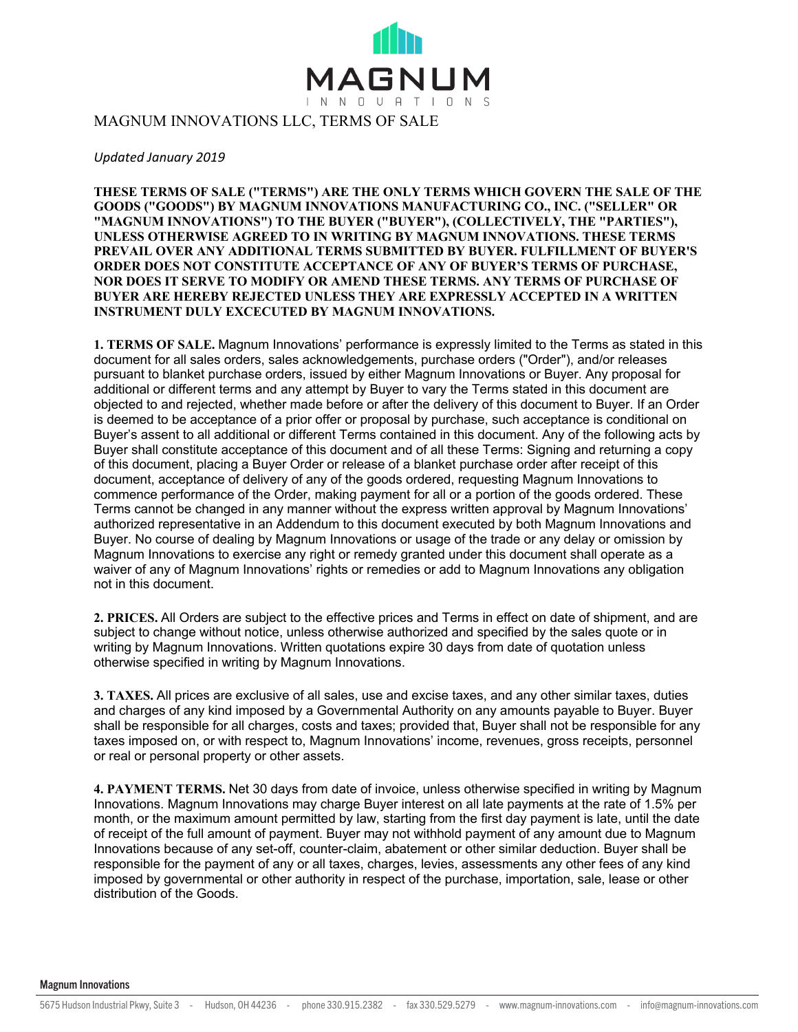

*Updated January 2019*

**THESE TERMS OF SALE ("TERMS") ARE THE ONLY TERMS WHICH GOVERN THE SALE OF THE GOODS ("GOODS") BY MAGNUM INNOVATIONS MANUFACTURING CO., INC. ("SELLER" OR "MAGNUM INNOVATIONS") TO THE BUYER ("BUYER"), (COLLECTIVELY, THE "PARTIES"), UNLESS OTHERWISE AGREED TO IN WRITING BY MAGNUM INNOVATIONS. THESE TERMS PREVAIL OVER ANY ADDITIONAL TERMS SUBMITTED BY BUYER. FULFILLMENT OF BUYER'S ORDER DOES NOT CONSTITUTE ACCEPTANCE OF ANY OF BUYER'S TERMS OF PURCHASE, NOR DOES IT SERVE TO MODIFY OR AMEND THESE TERMS. ANY TERMS OF PURCHASE OF BUYER ARE HEREBY REJECTED UNLESS THEY ARE EXPRESSLY ACCEPTED IN A WRITTEN INSTRUMENT DULY EXCECUTED BY MAGNUM INNOVATIONS.** 

**1. TERMS OF SALE.** Magnum Innovations' performance is expressly limited to the Terms as stated in this document for all sales orders, sales acknowledgements, purchase orders ("Order"), and/or releases pursuant to blanket purchase orders, issued by either Magnum Innovations or Buyer. Any proposal for additional or different terms and any attempt by Buyer to vary the Terms stated in this document are objected to and rejected, whether made before or after the delivery of this document to Buyer. If an Order is deemed to be acceptance of a prior offer or proposal by purchase, such acceptance is conditional on Buyer's assent to all additional or different Terms contained in this document. Any of the following acts by Buyer shall constitute acceptance of this document and of all these Terms: Signing and returning a copy of this document, placing a Buyer Order or release of a blanket purchase order after receipt of this document, acceptance of delivery of any of the goods ordered, requesting Magnum Innovations to commence performance of the Order, making payment for all or a portion of the goods ordered. These Terms cannot be changed in any manner without the express written approval by Magnum Innovations' authorized representative in an Addendum to this document executed by both Magnum Innovations and Buyer. No course of dealing by Magnum Innovations or usage of the trade or any delay or omission by Magnum Innovations to exercise any right or remedy granted under this document shall operate as a waiver of any of Magnum Innovations' rights or remedies or add to Magnum Innovations any obligation not in this document.

**2. PRICES.** All Orders are subject to the effective prices and Terms in effect on date of shipment, and are subject to change without notice, unless otherwise authorized and specified by the sales quote or in writing by Magnum Innovations. Written quotations expire 30 days from date of quotation unless otherwise specified in writing by Magnum Innovations.

**3. TAXES.** All prices are exclusive of all sales, use and excise taxes, and any other similar taxes, duties and charges of any kind imposed by a Governmental Authority on any amounts payable to Buyer. Buyer shall be responsible for all charges, costs and taxes; provided that, Buyer shall not be responsible for any taxes imposed on, or with respect to, Magnum Innovations' income, revenues, gross receipts, personnel or real or personal property or other assets.

**4. PAYMENT TERMS.** Net 30 days from date of invoice, unless otherwise specified in writing by Magnum Innovations. Magnum Innovations may charge Buyer interest on all late payments at the rate of 1.5% per month, or the maximum amount permitted by law, starting from the first day payment is late, until the date of receipt of the full amount of payment. Buyer may not withhold payment of any amount due to Magnum Innovations because of any set-off, counter-claim, abatement or other similar deduction. Buyer shall be responsible for the payment of any or all taxes, charges, levies, assessments any other fees of any kind imposed by governmental or other authority in respect of the purchase, importation, sale, lease or other distribution of the Goods.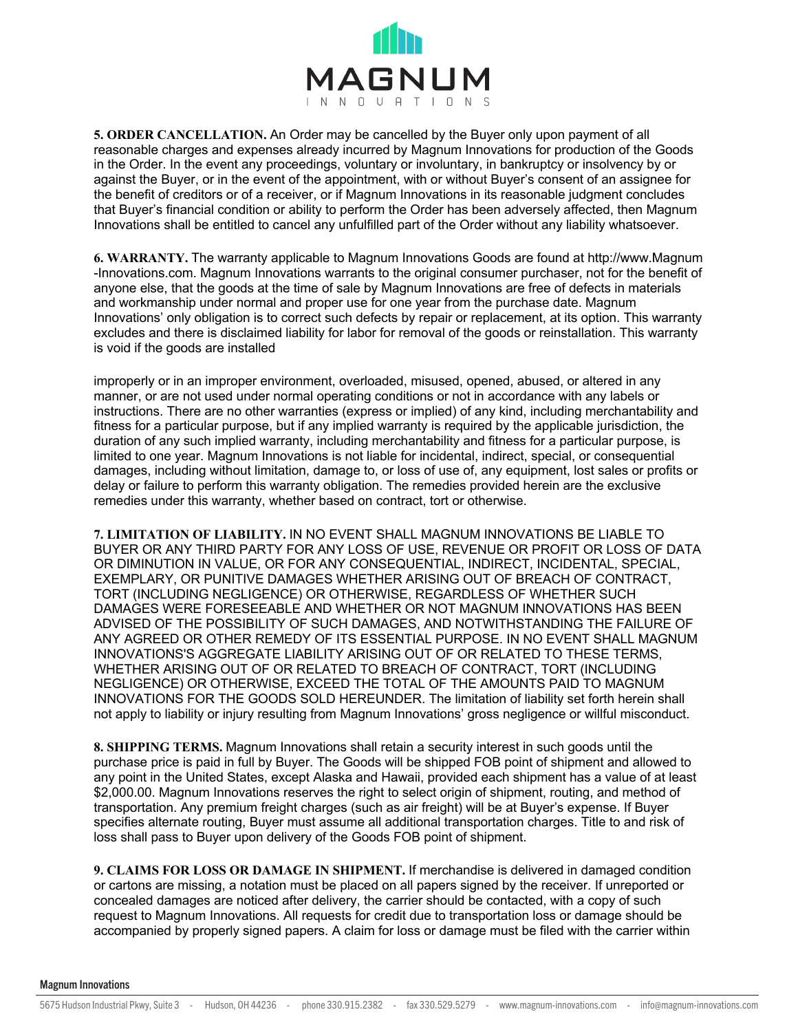

**5. ORDER CANCELLATION.** An Order may be cancelled by the Buyer only upon payment of all reasonable charges and expenses already incurred by Magnum Innovations for production of the Goods in the Order. In the event any proceedings, voluntary or involuntary, in bankruptcy or insolvency by or against the Buyer, or in the event of the appointment, with or without Buyer's consent of an assignee for the benefit of creditors or of a receiver, or if Magnum Innovations in its reasonable judgment concludes that Buyer's financial condition or ability to perform the Order has been adversely affected, then Magnum Innovations shall be entitled to cancel any unfulfilled part of the Order without any liability whatsoever.

**6. WARRANTY.** The warranty applicable to Magnum Innovations Goods are found at http://www.Magnum -Innovations.com. Magnum Innovations warrants to the original consumer purchaser, not for the benefit of anyone else, that the goods at the time of sale by Magnum Innovations are free of defects in materials and workmanship under normal and proper use for one year from the purchase date. Magnum Innovations' only obligation is to correct such defects by repair or replacement, at its option. This warranty excludes and there is disclaimed liability for labor for removal of the goods or reinstallation. This warranty is void if the goods are installed

improperly or in an improper environment, overloaded, misused, opened, abused, or altered in any manner, or are not used under normal operating conditions or not in accordance with any labels or instructions. There are no other warranties (express or implied) of any kind, including merchantability and fitness for a particular purpose, but if any implied warranty is required by the applicable jurisdiction, the duration of any such implied warranty, including merchantability and fitness for a particular purpose, is limited to one year. Magnum Innovations is not liable for incidental, indirect, special, or consequential damages, including without limitation, damage to, or loss of use of, any equipment, lost sales or profits or delay or failure to perform this warranty obligation. The remedies provided herein are the exclusive remedies under this warranty, whether based on contract, tort or otherwise.

**7. LIMITATION OF LIABILITY.** IN NO EVENT SHALL MAGNUM INNOVATIONS BE LIABLE TO BUYER OR ANY THIRD PARTY FOR ANY LOSS OF USE, REVENUE OR PROFIT OR LOSS OF DATA OR DIMINUTION IN VALUE, OR FOR ANY CONSEQUENTIAL, INDIRECT, INCIDENTAL, SPECIAL, EXEMPLARY, OR PUNITIVE DAMAGES WHETHER ARISING OUT OF BREACH OF CONTRACT, TORT (INCLUDING NEGLIGENCE) OR OTHERWISE, REGARDLESS OF WHETHER SUCH DAMAGES WERE FORESEEABLE AND WHETHER OR NOT MAGNUM INNOVATIONS HAS BEEN ADVISED OF THE POSSIBILITY OF SUCH DAMAGES, AND NOTWITHSTANDING THE FAILURE OF ANY AGREED OR OTHER REMEDY OF ITS ESSENTIAL PURPOSE. IN NO EVENT SHALL MAGNUM INNOVATIONS'S AGGREGATE LIABILITY ARISING OUT OF OR RELATED TO THESE TERMS, WHETHER ARISING OUT OF OR RELATED TO BREACH OF CONTRACT, TORT (INCLUDING NEGLIGENCE) OR OTHERWISE, EXCEED THE TOTAL OF THE AMOUNTS PAID TO MAGNUM INNOVATIONS FOR THE GOODS SOLD HEREUNDER. The limitation of liability set forth herein shall not apply to liability or injury resulting from Magnum Innovations' gross negligence or willful misconduct.

**8. SHIPPING TERMS.** Magnum Innovations shall retain a security interest in such goods until the purchase price is paid in full by Buyer. The Goods will be shipped FOB point of shipment and allowed to any point in the United States, except Alaska and Hawaii, provided each shipment has a value of at least \$2,000.00. Magnum Innovations reserves the right to select origin of shipment, routing, and method of transportation. Any premium freight charges (such as air freight) will be at Buyer's expense. If Buyer specifies alternate routing, Buyer must assume all additional transportation charges. Title to and risk of loss shall pass to Buyer upon delivery of the Goods FOB point of shipment.

**9. CLAIMS FOR LOSS OR DAMAGE IN SHIPMENT.** If merchandise is delivered in damaged condition or cartons are missing, a notation must be placed on all papers signed by the receiver. If unreported or concealed damages are noticed after delivery, the carrier should be contacted, with a copy of such request to Magnum Innovations. All requests for credit due to transportation loss or damage should be accompanied by properly signed papers. A claim for loss or damage must be filed with the carrier within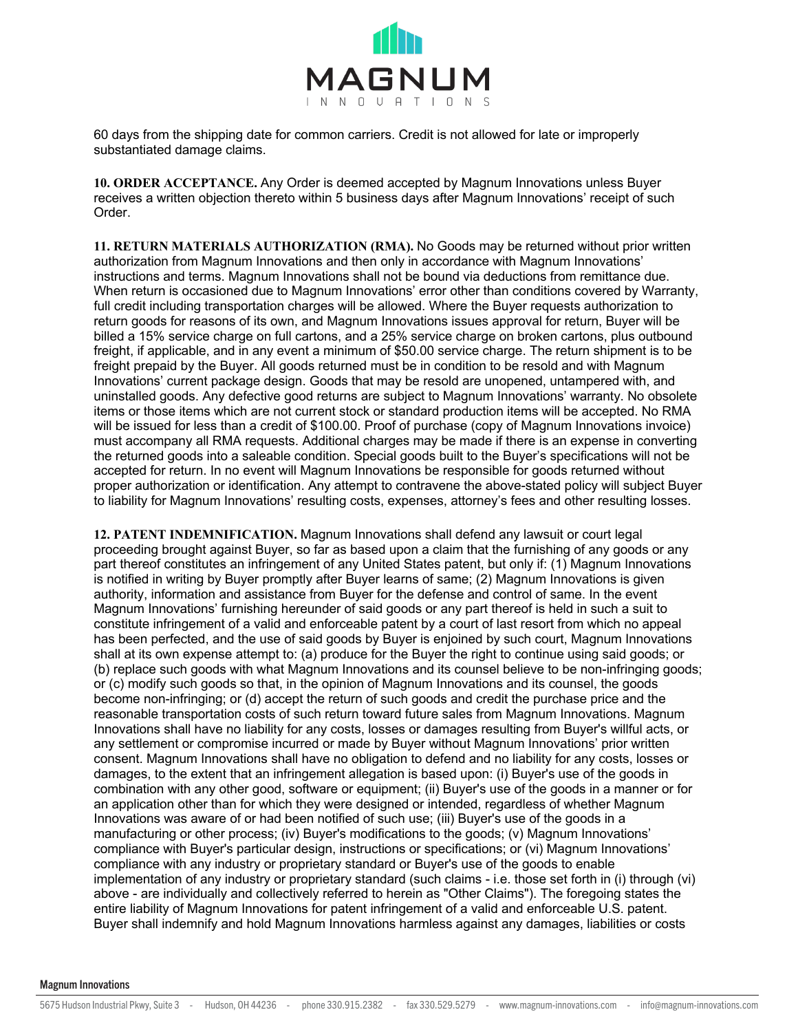

60 days from the shipping date for common carriers. Credit is not allowed for late or improperly substantiated damage claims.

**10. ORDER ACCEPTANCE.** Any Order is deemed accepted by Magnum Innovations unless Buyer receives a written objection thereto within 5 business days after Magnum Innovations' receipt of such Order.

**11. RETURN MATERIALS AUTHORIZATION (RMA).** No Goods may be returned without prior written authorization from Magnum Innovations and then only in accordance with Magnum Innovations' instructions and terms. Magnum Innovations shall not be bound via deductions from remittance due. When return is occasioned due to Magnum Innovations' error other than conditions covered by Warranty, full credit including transportation charges will be allowed. Where the Buyer requests authorization to return goods for reasons of its own, and Magnum Innovations issues approval for return, Buyer will be billed a 15% service charge on full cartons, and a 25% service charge on broken cartons, plus outbound freight, if applicable, and in any event a minimum of \$50.00 service charge. The return shipment is to be freight prepaid by the Buyer. All goods returned must be in condition to be resold and with Magnum Innovations' current package design. Goods that may be resold are unopened, untampered with, and uninstalled goods. Any defective good returns are subject to Magnum Innovations' warranty. No obsolete items or those items which are not current stock or standard production items will be accepted. No RMA will be issued for less than a credit of \$100.00. Proof of purchase (copy of Magnum Innovations invoice) must accompany all RMA requests. Additional charges may be made if there is an expense in converting the returned goods into a saleable condition. Special goods built to the Buyer's specifications will not be accepted for return. In no event will Magnum Innovations be responsible for goods returned without proper authorization or identification. Any attempt to contravene the above-stated policy will subject Buyer to liability for Magnum Innovations' resulting costs, expenses, attorney's fees and other resulting losses.

**12. PATENT INDEMNIFICATION.** Magnum Innovations shall defend any lawsuit or court legal proceeding brought against Buyer, so far as based upon a claim that the furnishing of any goods or any part thereof constitutes an infringement of any United States patent, but only if: (1) Magnum Innovations is notified in writing by Buyer promptly after Buyer learns of same; (2) Magnum Innovations is given authority, information and assistance from Buyer for the defense and control of same. In the event Magnum Innovations' furnishing hereunder of said goods or any part thereof is held in such a suit to constitute infringement of a valid and enforceable patent by a court of last resort from which no appeal has been perfected, and the use of said goods by Buyer is enjoined by such court, Magnum Innovations shall at its own expense attempt to: (a) produce for the Buyer the right to continue using said goods; or (b) replace such goods with what Magnum Innovations and its counsel believe to be non-infringing goods; or (c) modify such goods so that, in the opinion of Magnum Innovations and its counsel, the goods become non-infringing; or (d) accept the return of such goods and credit the purchase price and the reasonable transportation costs of such return toward future sales from Magnum Innovations. Magnum Innovations shall have no liability for any costs, losses or damages resulting from Buyer's willful acts, or any settlement or compromise incurred or made by Buyer without Magnum Innovations' prior written consent. Magnum Innovations shall have no obligation to defend and no liability for any costs, losses or damages, to the extent that an infringement allegation is based upon: (i) Buyer's use of the goods in combination with any other good, software or equipment; (ii) Buyer's use of the goods in a manner or for an application other than for which they were designed or intended, regardless of whether Magnum Innovations was aware of or had been notified of such use; (iii) Buyer's use of the goods in a manufacturing or other process; (iv) Buyer's modifications to the goods; (v) Magnum Innovations' compliance with Buyer's particular design, instructions or specifications; or (vi) Magnum Innovations' compliance with any industry or proprietary standard or Buyer's use of the goods to enable implementation of any industry or proprietary standard (such claims - i.e. those set forth in (i) through (vi) above - are individually and collectively referred to herein as "Other Claims"). The foregoing states the entire liability of Magnum Innovations for patent infringement of a valid and enforceable U.S. patent. Buyer shall indemnify and hold Magnum Innovations harmless against any damages, liabilities or costs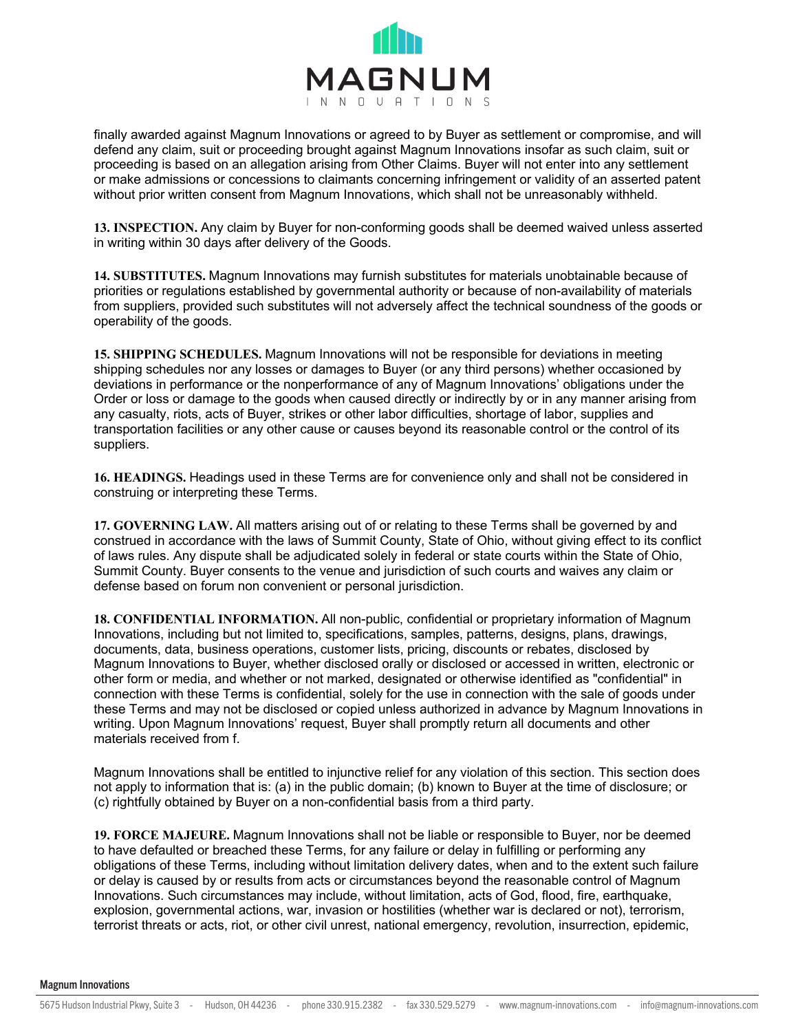

finally awarded against Magnum Innovations or agreed to by Buyer as settlement or compromise, and will defend any claim, suit or proceeding brought against Magnum Innovations insofar as such claim, suit or proceeding is based on an allegation arising from Other Claims. Buyer will not enter into any settlement or make admissions or concessions to claimants concerning infringement or validity of an asserted patent without prior written consent from Magnum Innovations, which shall not be unreasonably withheld.

**13. INSPECTION.** Any claim by Buyer for non-conforming goods shall be deemed waived unless asserted in writing within 30 days after delivery of the Goods.

**14. SUBSTITUTES.** Magnum Innovations may furnish substitutes for materials unobtainable because of priorities or regulations established by governmental authority or because of non-availability of materials from suppliers, provided such substitutes will not adversely affect the technical soundness of the goods or operability of the goods.

**15. SHIPPING SCHEDULES.** Magnum Innovations will not be responsible for deviations in meeting shipping schedules nor any losses or damages to Buyer (or any third persons) whether occasioned by deviations in performance or the nonperformance of any of Magnum Innovations' obligations under the Order or loss or damage to the goods when caused directly or indirectly by or in any manner arising from any casualty, riots, acts of Buyer, strikes or other labor difficulties, shortage of labor, supplies and transportation facilities or any other cause or causes beyond its reasonable control or the control of its suppliers.

**16. HEADINGS.** Headings used in these Terms are for convenience only and shall not be considered in construing or interpreting these Terms.

**17. GOVERNING LAW.** All matters arising out of or relating to these Terms shall be governed by and construed in accordance with the laws of Summit County, State of Ohio, without giving effect to its conflict of laws rules. Any dispute shall be adjudicated solely in federal or state courts within the State of Ohio, Summit County. Buyer consents to the venue and jurisdiction of such courts and waives any claim or defense based on forum non convenient or personal jurisdiction.

**18. CONFIDENTIAL INFORMATION.** All non-public, confidential or proprietary information of Magnum Innovations, including but not limited to, specifications, samples, patterns, designs, plans, drawings, documents, data, business operations, customer lists, pricing, discounts or rebates, disclosed by Magnum Innovations to Buyer, whether disclosed orally or disclosed or accessed in written, electronic or other form or media, and whether or not marked, designated or otherwise identified as "confidential" in connection with these Terms is confidential, solely for the use in connection with the sale of goods under these Terms and may not be disclosed or copied unless authorized in advance by Magnum Innovations in writing. Upon Magnum Innovations' request, Buyer shall promptly return all documents and other materials received from f.

Magnum Innovations shall be entitled to injunctive relief for any violation of this section. This section does not apply to information that is: (a) in the public domain; (b) known to Buyer at the time of disclosure; or (c) rightfully obtained by Buyer on a non-confidential basis from a third party.

**19. FORCE MAJEURE.** Magnum Innovations shall not be liable or responsible to Buyer, nor be deemed to have defaulted or breached these Terms, for any failure or delay in fulfilling or performing any obligations of these Terms, including without limitation delivery dates, when and to the extent such failure or delay is caused by or results from acts or circumstances beyond the reasonable control of Magnum Innovations. Such circumstances may include, without limitation, acts of God, flood, fire, earthquake, explosion, governmental actions, war, invasion or hostilities (whether war is declared or not), terrorism, terrorist threats or acts, riot, or other civil unrest, national emergency, revolution, insurrection, epidemic,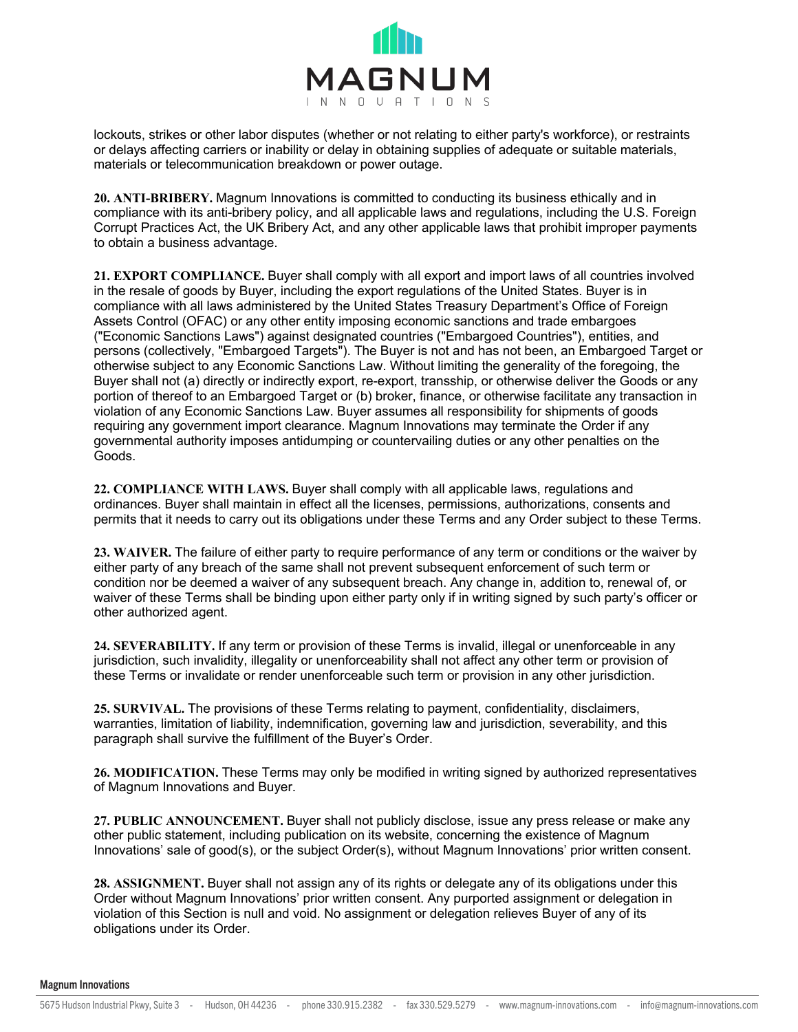

lockouts, strikes or other labor disputes (whether or not relating to either party's workforce), or restraints or delays affecting carriers or inability or delay in obtaining supplies of adequate or suitable materials, materials or telecommunication breakdown or power outage.

**20. ANTI-BRIBERY.** Magnum Innovations is committed to conducting its business ethically and in compliance with its anti-bribery policy, and all applicable laws and regulations, including the U.S. Foreign Corrupt Practices Act, the UK Bribery Act, and any other applicable laws that prohibit improper payments to obtain a business advantage.

**21. EXPORT COMPLIANCE.** Buyer shall comply with all export and import laws of all countries involved in the resale of goods by Buyer, including the export regulations of the United States. Buyer is in compliance with all laws administered by the United States Treasury Department's Office of Foreign Assets Control (OFAC) or any other entity imposing economic sanctions and trade embargoes ("Economic Sanctions Laws") against designated countries ("Embargoed Countries"), entities, and persons (collectively, "Embargoed Targets"). The Buyer is not and has not been, an Embargoed Target or otherwise subject to any Economic Sanctions Law. Without limiting the generality of the foregoing, the Buyer shall not (a) directly or indirectly export, re-export, transship, or otherwise deliver the Goods or any portion of thereof to an Embargoed Target or (b) broker, finance, or otherwise facilitate any transaction in violation of any Economic Sanctions Law. Buyer assumes all responsibility for shipments of goods requiring any government import clearance. Magnum Innovations may terminate the Order if any governmental authority imposes antidumping or countervailing duties or any other penalties on the Goods.

**22. COMPLIANCE WITH LAWS.** Buyer shall comply with all applicable laws, regulations and ordinances. Buyer shall maintain in effect all the licenses, permissions, authorizations, consents and permits that it needs to carry out its obligations under these Terms and any Order subject to these Terms.

**23. WAIVER.** The failure of either party to require performance of any term or conditions or the waiver by either party of any breach of the same shall not prevent subsequent enforcement of such term or condition nor be deemed a waiver of any subsequent breach. Any change in, addition to, renewal of, or waiver of these Terms shall be binding upon either party only if in writing signed by such party's officer or other authorized agent.

**24. SEVERABILITY.** If any term or provision of these Terms is invalid, illegal or unenforceable in any jurisdiction, such invalidity, illegality or unenforceability shall not affect any other term or provision of these Terms or invalidate or render unenforceable such term or provision in any other jurisdiction.

**25. SURVIVAL.** The provisions of these Terms relating to payment, confidentiality, disclaimers, warranties, limitation of liability, indemnification, governing law and jurisdiction, severability, and this paragraph shall survive the fulfillment of the Buyer's Order.

**26. MODIFICATION.** These Terms may only be modified in writing signed by authorized representatives of Magnum Innovations and Buyer.

**27. PUBLIC ANNOUNCEMENT.** Buyer shall not publicly disclose, issue any press release or make any other public statement, including publication on its website, concerning the existence of Magnum Innovations' sale of good(s), or the subject Order(s), without Magnum Innovations' prior written consent.

**28. ASSIGNMENT.** Buyer shall not assign any of its rights or delegate any of its obligations under this Order without Magnum Innovations' prior written consent. Any purported assignment or delegation in violation of this Section is null and void. No assignment or delegation relieves Buyer of any of its obligations under its Order.